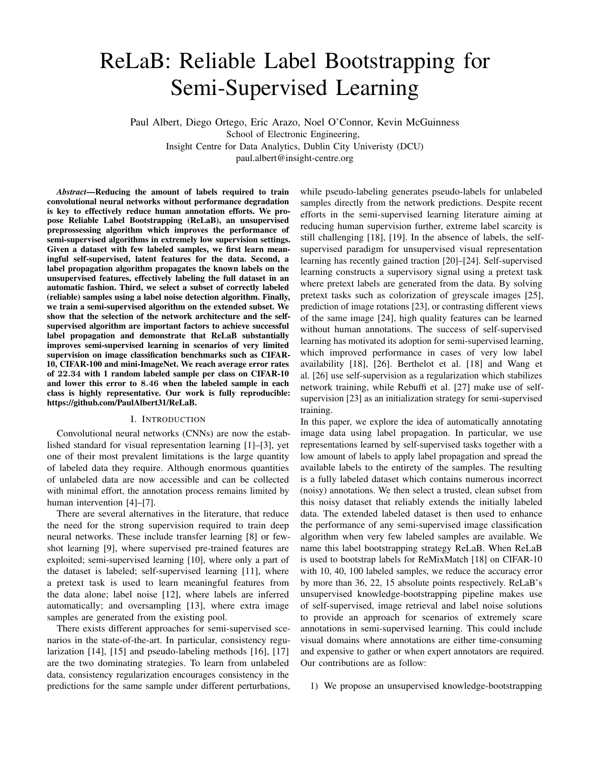# ReLaB: Reliable Label Bootstrapping for Semi-Supervised Learning

Paul Albert, Diego Ortego, Eric Arazo, Noel O'Connor, Kevin McGuinness School of Electronic Engineering, Insight Centre for Data Analytics, Dublin City Univeristy (DCU) paul.albert@insight-centre.org

*Abstract*—Reducing the amount of labels required to train convolutional neural networks without performance degradation is key to effectively reduce human annotation efforts. We propose Reliable Label Bootstrapping (ReLaB), an unsupervised preprossessing algorithm which improves the performance of semi-supervised algorithms in extremely low supervision settings. Given a dataset with few labeled samples, we first learn meaningful self-supervised, latent features for the data. Second, a label propagation algorithm propagates the known labels on the unsupervised features, effectively labeling the full dataset in an automatic fashion. Third, we select a subset of correctly labeled (reliable) samples using a label noise detection algorithm. Finally, we train a semi-supervised algorithm on the extended subset. We show that the selection of the network architecture and the selfsupervised algorithm are important factors to achieve successful label propagation and demonstrate that ReLaB substantially improves semi-supervised learning in scenarios of very limited supervision on image classification benchmarks such as CIFAR-10, CIFAR-100 and mini-ImageNet. We reach average error rates of 22.34 with 1 random labeled sample per class on CIFAR-10 and lower this error to 8.46 when the labeled sample in each class is highly representative. Our work is fully reproducible: https://github.com/PaulAlbert31/ReLaB.

# I. INTRODUCTION

Convolutional neural networks (CNNs) are now the established standard for visual representation learning [1]–[3], yet one of their most prevalent limitations is the large quantity of labeled data they require. Although enormous quantities of unlabeled data are now accessible and can be collected with minimal effort, the annotation process remains limited by human intervention [4]–[7].

There are several alternatives in the literature, that reduce the need for the strong supervision required to train deep neural networks. These include transfer learning [8] or fewshot learning [9], where supervised pre-trained features are exploited; semi-supervised learning [10], where only a part of the dataset is labeled; self-supervised learning [11], where a pretext task is used to learn meaningful features from the data alone; label noise [12], where labels are inferred automatically; and oversampling [13], where extra image samples are generated from the existing pool.

There exists different approaches for semi-supervised scenarios in the state-of-the-art. In particular, consistency regularization [14], [15] and pseudo-labeling methods [16], [17] are the two dominating strategies. To learn from unlabeled data, consistency regularization encourages consistency in the predictions for the same sample under different perturbations, while pseudo-labeling generates pseudo-labels for unlabeled samples directly from the network predictions. Despite recent efforts in the semi-supervised learning literature aiming at reducing human supervision further, extreme label scarcity is still challenging [18], [19]. In the absence of labels, the selfsupervised paradigm for unsupervised visual representation learning has recently gained traction [20]–[24]. Self-supervised learning constructs a supervisory signal using a pretext task where pretext labels are generated from the data. By solving pretext tasks such as colorization of greyscale images [25], prediction of image rotations [23], or contrasting different views of the same image [24], high quality features can be learned without human annotations. The success of self-supervised learning has motivated its adoption for semi-supervised learning, which improved performance in cases of very low label availability [18], [26]. Berthelot et al. [18] and Wang et al. [26] use self-supervision as a regularization which stabilizes network training, while Rebuffi et al. [27] make use of selfsupervision [23] as an initialization strategy for semi-supervised training.

In this paper, we explore the idea of automatically annotating image data using label propagation. In particular, we use representations learned by self-supervised tasks together with a low amount of labels to apply label propagation and spread the available labels to the entirety of the samples. The resulting is a fully labeled dataset which contains numerous incorrect (noisy) annotations. We then select a trusted, clean subset from this noisy dataset that reliably extends the initially labeled data. The extended labeled dataset is then used to enhance the performance of any semi-supervised image classification algorithm when very few labeled samples are available. We name this label bootstrapping strategy ReLaB. When ReLaB is used to bootstrap labels for ReMixMatch [18] on CIFAR-10 with 10, 40, 100 labeled samples, we reduce the accuracy error by more than 36, 22, 15 absolute points respectively. ReLaB's unsupervised knowledge-bootstrapping pipeline makes use of self-supervised, image retrieval and label noise solutions to provide an approach for scenarios of extremely scare annotations in semi-supervised learning. This could include visual domains where annotations are either time-consuming and expensive to gather or when expert annotators are required. Our contributions are as follow:

1) We propose an unsupervised knowledge-bootstrapping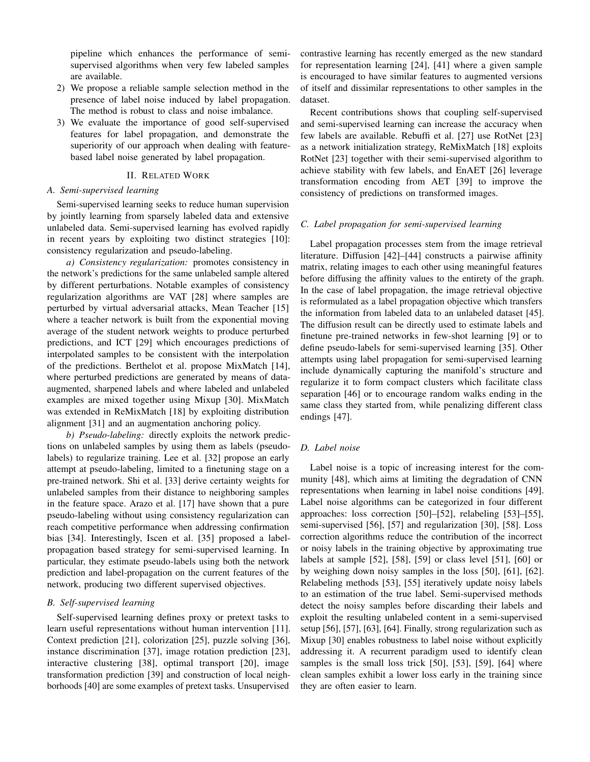pipeline which enhances the performance of semisupervised algorithms when very few labeled samples are available.

- 2) We propose a reliable sample selection method in the presence of label noise induced by label propagation. The method is robust to class and noise imbalance.
- 3) We evaluate the importance of good self-supervised features for label propagation, and demonstrate the superiority of our approach when dealing with featurebased label noise generated by label propagation.

# II. RELATED WORK

## *A. Semi-supervised learning*

Semi-supervised learning seeks to reduce human supervision by jointly learning from sparsely labeled data and extensive unlabeled data. Semi-supervised learning has evolved rapidly in recent years by exploiting two distinct strategies [10]: consistency regularization and pseudo-labeling.

*a) Consistency regularization:* promotes consistency in the network's predictions for the same unlabeled sample altered by different perturbations. Notable examples of consistency regularization algorithms are VAT [28] where samples are perturbed by virtual adversarial attacks, Mean Teacher [15] where a teacher network is built from the exponential moving average of the student network weights to produce perturbed predictions, and ICT [29] which encourages predictions of interpolated samples to be consistent with the interpolation of the predictions. Berthelot et al. propose MixMatch [14], where perturbed predictions are generated by means of dataaugmented, sharpened labels and where labeled and unlabeled examples are mixed together using Mixup [30]. MixMatch was extended in ReMixMatch [18] by exploiting distribution alignment [31] and an augmentation anchoring policy.

*b) Pseudo-labeling:* directly exploits the network predictions on unlabeled samples by using them as labels (pseudolabels) to regularize training. Lee et al. [32] propose an early attempt at pseudo-labeling, limited to a finetuning stage on a pre-trained network. Shi et al. [33] derive certainty weights for unlabeled samples from their distance to neighboring samples in the feature space. Arazo et al. [17] have shown that a pure pseudo-labeling without using consistency regularization can reach competitive performance when addressing confirmation bias [34]. Interestingly, Iscen et al. [35] proposed a labelpropagation based strategy for semi-supervised learning. In particular, they estimate pseudo-labels using both the network prediction and label-propagation on the current features of the network, producing two different supervised objectives.

# *B. Self-supervised learning*

Self-supervised learning defines proxy or pretext tasks to learn useful representations without human intervention [11]. Context prediction [21], colorization [25], puzzle solving [36], instance discrimination [37], image rotation prediction [23], interactive clustering [38], optimal transport [20], image transformation prediction [39] and construction of local neighborhoods [40] are some examples of pretext tasks. Unsupervised

contrastive learning has recently emerged as the new standard for representation learning [24], [41] where a given sample is encouraged to have similar features to augmented versions of itself and dissimilar representations to other samples in the dataset.

Recent contributions shows that coupling self-supervised and semi-supervised learning can increase the accuracy when few labels are available. Rebuffi et al. [27] use RotNet [23] as a network initialization strategy, ReMixMatch [18] exploits RotNet [23] together with their semi-supervised algorithm to achieve stability with few labels, and EnAET [26] leverage transformation encoding from AET [39] to improve the consistency of predictions on transformed images.

# *C. Label propagation for semi-supervised learning*

Label propagation processes stem from the image retrieval literature. Diffusion [42]–[44] constructs a pairwise affinity matrix, relating images to each other using meaningful features before diffusing the affinity values to the entirety of the graph. In the case of label propagation, the image retrieval objective is reformulated as a label propagation objective which transfers the information from labeled data to an unlabeled dataset [45]. The diffusion result can be directly used to estimate labels and finetune pre-trained networks in few-shot learning [9] or to define pseudo-labels for semi-supervised learning [35]. Other attempts using label propagation for semi-supervised learning include dynamically capturing the manifold's structure and regularize it to form compact clusters which facilitate class separation [46] or to encourage random walks ending in the same class they started from, while penalizing different class endings [47].

## *D. Label noise*

Label noise is a topic of increasing interest for the community [48], which aims at limiting the degradation of CNN representations when learning in label noise conditions [49]. Label noise algorithms can be categorized in four different approaches: loss correction [50]–[52], relabeling [53]–[55], semi-supervised [56], [57] and regularization [30], [58]. Loss correction algorithms reduce the contribution of the incorrect or noisy labels in the training objective by approximating true labels at sample [52], [58], [59] or class level [51], [60] or by weighing down noisy samples in the loss [50], [61], [62]. Relabeling methods [53], [55] iteratively update noisy labels to an estimation of the true label. Semi-supervised methods detect the noisy samples before discarding their labels and exploit the resulting unlabeled content in a semi-supervised setup [56], [57], [63], [64]. Finally, strong regularization such as Mixup [30] enables robustness to label noise without explicitly addressing it. A recurrent paradigm used to identify clean samples is the small loss trick [50], [53], [59], [64] where clean samples exhibit a lower loss early in the training since they are often easier to learn.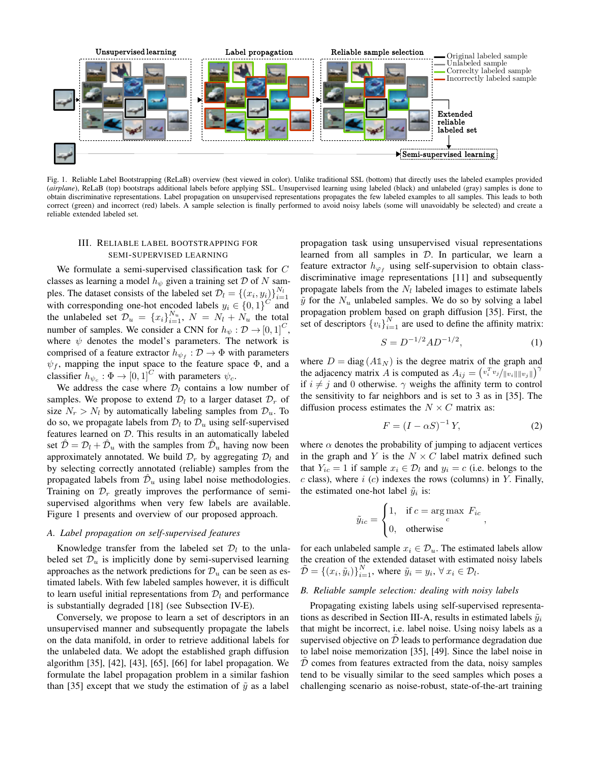

Fig. 1. Reliable Label Bootstrapping (ReLaB) overview (best viewed in color). Unlike traditional SSL (bottom) that directly uses the labeled examples provided (*airplane*), ReLaB (top) bootstraps additional labels before applying SSL. Unsupervised learning using labeled (black) and unlabeled (gray) samples is done to obtain discriminative representations. Label propagation on unsupervised representations propagates the few labeled examples to all samples. This leads to both correct (green) and incorrect (red) labels. A sample selection is finally performed to avoid noisy labels (some will unavoidably be selected) and create a reliable extended labeled set.

# III. RELIABLE LABEL BOOTSTRAPPING FOR SEMI-SUPERVISED LEARNING

We formulate a semi-supervised classification task for C classes as learning a model  $h_{\psi}$  given a training set  $\mathcal D$  of N samples. The dataset consists of the labeled set  $\mathcal{D}_l = \{(x_i, y_i)\}_{i=1}^{N_l}$ with corresponding one-hot encoded labels  $y_i \in \{0,1\}^C$  and the unlabeled set  $\mathcal{D}_u = \{x_i\}_{i=1}^{N_u}$ ,  $N = N_l + N_u$  the total number of samples. We consider a CNN for  $h_{\psi}: \mathcal{D} \to [0, 1]^C$ , where  $\psi$  denotes the model's parameters. The network is comprised of a feature extractor  $h_{\psi_f} : \mathcal{D} \to \Phi$  with parameters  $\psi_f$ , mapping the input space to the feature space  $\Phi$ , and a classifier  $h_{\psi_c} : \Phi \to [0, 1]^C$  with parameters  $\psi_c$ .

We address the case where  $\mathcal{D}_l$  contains a low number of samples. We propose to extend  $\mathcal{D}_l$  to a larger dataset  $\mathcal{D}_r$  of size  $N_r > N_l$  by automatically labeling samples from  $\mathcal{D}_u$ . To do so, we propagate labels from  $\mathcal{D}_l$  to  $\mathcal{D}_u$  using self-supervised features learned on D. This results in an automatically labeled set  $\hat{\mathcal{D}} = \mathcal{D}_l + \hat{\mathcal{D}}_u$  with the samples from  $\hat{\mathcal{D}}_u$  having now been approximately annotated. We build  $\mathcal{D}_r$  by aggregating  $\mathcal{D}_l$  and by selecting correctly annotated (reliable) samples from the propagated labels from  $\hat{\mathcal{D}}_u$  using label noise methodologies. Training on  $\mathcal{D}_r$  greatly improves the performance of semisupervised algorithms when very few labels are available. Figure 1 presents and overview of our proposed approach.

## *A. Label propagation on self-supervised features*

Knowledge transfer from the labeled set  $\mathcal{D}_l$  to the unlabeled set  $\mathcal{D}_u$  is implicitly done by semi-supervised learning approaches as the network predictions for  $\mathcal{D}_u$  can be seen as estimated labels. With few labeled samples however, it is difficult to learn useful initial representations from  $\mathcal{D}_l$  and performance is substantially degraded [18] (see Subsection IV-E).

Conversely, we propose to learn a set of descriptors in an unsupervised manner and subsequently propagate the labels on the data manifold, in order to retrieve additional labels for the unlabeled data. We adopt the established graph diffusion algorithm [35], [42], [43], [65], [66] for label propagation. We formulate the label propagation problem in a similar fashion than [35] except that we study the estimation of  $\tilde{y}$  as a label

propagation task using unsupervised visual representations learned from all samples in  $D$ . In particular, we learn a feature extractor  $h_{\varphi_f}$  using self-supervision to obtain classdiscriminative image representations [11] and subsequently propagate labels from the  $N_l$  labeled images to estimate labels  $\tilde{y}$  for the  $N_u$  unlabeled samples. We do so by solving a label propagation problem based on graph diffusion [35]. First, the set of descriptors  ${v_i}_{i=1}^N$  are used to define the affinity matrix:

$$
S = D^{-1/2}AD^{-1/2},\tag{1}
$$

where  $D = diag(A1_N)$  is the degree matrix of the graph and the adjacency matrix A is computed as  $A_{ij} = (v_i^T v_j/||v_i|| ||v_j||)^{\gamma}$ if  $i \neq j$  and 0 otherwise.  $\gamma$  weighs the affinity term to control the sensitivity to far neighbors and is set to 3 as in [35]. The diffusion process estimates the  $N \times C$  matrix as:

$$
F = (I - \alpha S)^{-1} Y,\t(2)
$$

where  $\alpha$  denotes the probability of jumping to adjacent vertices in the graph and Y is the  $N \times C$  label matrix defined such that  $Y_{ic} = 1$  if sample  $x_i \in \mathcal{D}_l$  and  $y_i = c$  (i.e. belongs to the  $c$  class), where  $i$  ( $c$ ) indexes the rows (columns) in Y. Finally, the estimated one-hot label  $\tilde{y}_i$  is:

$$
\tilde{y}_{ic} = \begin{cases} 1, & \text{if } c = \arg \max_{c} \ F_{ic} \\ 0, & \text{otherwise} \end{cases}
$$

for each unlabeled sample  $x_i \in \mathcal{D}_u$ . The estimated labels allow the creation of the extended dataset with estimated noisy labels  $\tilde{\mathcal{D}} = \left\{ (x_i, \tilde{y}_i) \right\}_{i=1}^N$ , where  $\tilde{y}_i = y_i, \forall x_i \in \mathcal{D}_l$ .

#### *B. Reliable sample selection: dealing with noisy labels*

Propagating existing labels using self-supervised representations as described in Section III-A, results in estimated labels  $\tilde{y}_i$ that might be incorrect, i.e. label noise. Using noisy labels as a supervised objective on  $\tilde{\mathcal{D}}$  leads to performance degradation due to label noise memorization [35], [49]. Since the label noise in  $D$  comes from features extracted from the data, noisy samples tend to be visually similar to the seed samples which poses a challenging scenario as noise-robust, state-of-the-art training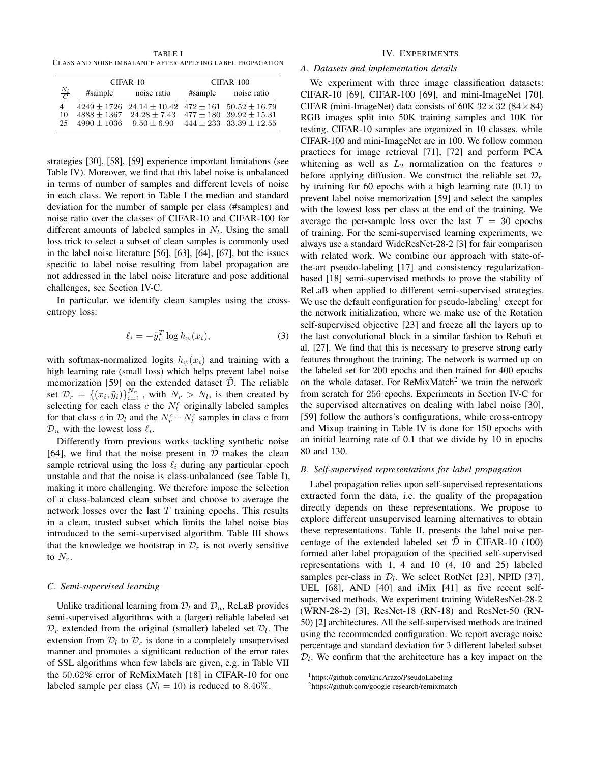TABLE I CLASS AND NOISE IMBALANCE AFTER APPLYING LABEL PROPAGATION

|                 |               | CIFAR-10                                                          | $CIFAR-100$ |                             |  |
|-----------------|---------------|-------------------------------------------------------------------|-------------|-----------------------------|--|
| $\frac{N_l}{C}$ | #sample       | noise ratio                                                       | #sample     | noise ratio                 |  |
| 4               |               | $4249 \pm 1726$ $24.14 \pm 10.42$ $472 \pm 161$ $50.52 \pm 16.79$ |             |                             |  |
| 10              | $4888 + 1367$ | $24.28 + 7.43$                                                    |             | $477 + 180$ $39.92 + 15.31$ |  |
| 25              |               | $4990 + 1036$ $9.50 + 6.90$                                       |             | $444 + 233$ $33.39 + 12.55$ |  |

strategies [30], [58], [59] experience important limitations (see Table IV). Moreover, we find that this label noise is unbalanced in terms of number of samples and different levels of noise in each class. We report in Table I the median and standard deviation for the number of sample per class (#samples) and noise ratio over the classes of CIFAR-10 and CIFAR-100 for different amounts of labeled samples in  $N_l$ . Using the small loss trick to select a subset of clean samples is commonly used in the label noise literature [56], [63], [64], [67], but the issues specific to label noise resulting from label propagation are not addressed in the label noise literature and pose additional challenges, see Section IV-C.

In particular, we identify clean samples using the crossentropy loss:

$$
\ell_i = -\tilde{y}_i^T \log h_{\psi}(x_i),\tag{3}
$$

with softmax-normalized logits  $h_{\psi}(x_i)$  and training with a high learning rate (small loss) which helps prevent label noise memorization [59] on the extended dataset  $\tilde{\mathcal{D}}$ . The reliable set  $\mathcal{D}_r = \{(x_i, \tilde{y}_i)\}_{i=1}^{N_r}$ , with  $N_r > N_l$ , is then created by selecting for each class c the  $N_l^c$  originally labeled samples for that class c in  $\mathcal{D}_l$  and the  $N_r^c - N_l^c$  samples in class c from  $\mathcal{D}_u$  with the lowest loss  $\ell_i$ .

Differently from previous works tackling synthetic noise [64], we find that the noise present in  $D$  makes the clean sample retrieval using the loss  $\ell_i$  during any particular epoch unstable and that the noise is class-unbalanced (see Table I), making it more challenging. We therefore impose the selection of a class-balanced clean subset and choose to average the network losses over the last  $T$  training epochs. This results in a clean, trusted subset which limits the label noise bias introduced to the semi-supervised algorithm. Table III shows that the knowledge we bootstrap in  $\mathcal{D}_r$  is not overly sensitive to  $N_r$ .

#### *C. Semi-supervised learning*

Unlike traditional learning from  $\mathcal{D}_l$  and  $\mathcal{D}_u$ , ReLaB provides semi-supervised algorithms with a (larger) reliable labeled set  $\mathcal{D}_r$  extended from the original (smaller) labeled set  $\mathcal{D}_l$ . The extension from  $\mathcal{D}_l$  to  $\mathcal{D}_r$  is done in a completely unsupervised manner and promotes a significant reduction of the error rates of SSL algorithms when few labels are given, e.g. in Table VII the 50.62% error of ReMixMatch [18] in CIFAR-10 for one labeled sample per class ( $N_l = 10$ ) is reduced to 8.46%.

## IV. EXPERIMENTS

# *A. Datasets and implementation details*

We experiment with three image classification datasets: CIFAR-10 [69], CIFAR-100 [69], and mini-ImageNet [70]. CIFAR (mini-ImageNet) data consists of 60K  $32 \times 32$  (84  $\times$  84) RGB images split into 50K training samples and 10K for testing. CIFAR-10 samples are organized in 10 classes, while CIFAR-100 and mini-ImageNet are in 100. We follow common practices for image retrieval [71], [72] and perform PCA whitening as well as  $L_2$  normalization on the features  $v$ before applying diffusion. We construct the reliable set  $\mathcal{D}_r$ by training for 60 epochs with a high learning rate (0.1) to prevent label noise memorization [59] and select the samples with the lowest loss per class at the end of the training. We average the per-sample loss over the last  $T = 30$  epochs of training. For the semi-supervised learning experiments, we always use a standard WideResNet-28-2 [3] for fair comparison with related work. We combine our approach with state-ofthe-art pseudo-labeling [17] and consistency regularizationbased [18] semi-supervised methods to prove the stability of ReLaB when applied to different semi-supervised strategies. We use the default configuration for pseudo-labeling<sup>1</sup> except for the network initialization, where we make use of the Rotation self-supervised objective [23] and freeze all the layers up to the last convolutional block in a similar fashion to Rebufi et al. [27]. We find that this is necessary to preserve strong early features throughout the training. The network is warmed up on the labeled set for 200 epochs and then trained for 400 epochs on the whole dataset. For  $\text{ReMixMatch}^2$  we train the network from scratch for 256 epochs. Experiments in Section IV-C for the supervised alternatives on dealing with label noise [30], [59] follow the authors's configurations, while cross-entropy and Mixup training in Table IV is done for 150 epochs with an initial learning rate of 0.1 that we divide by 10 in epochs 80 and 130.

#### *B. Self-supervised representations for label propagation*

Label propagation relies upon self-supervised representations extracted form the data, i.e. the quality of the propagation directly depends on these representations. We propose to explore different unsupervised learning alternatives to obtain these representations. Table II, presents the label noise percentage of the extended labeled set  $\overline{\mathcal{D}}$  in CIFAR-10 (100) formed after label propagation of the specified self-supervised representations with 1, 4 and 10 (4, 10 and 25) labeled samples per-class in  $\mathcal{D}_l$ . We select RotNet [23], NPID [37], UEL [68], AND [40] and iMix [41] as five recent selfsupervised methods. We experiment training WideResNet-28-2 (WRN-28-2) [3], ResNet-18 (RN-18) and ResNet-50 (RN-50) [2] architectures. All the self-supervised methods are trained using the recommended configuration. We report average noise percentage and standard deviation for 3 different labeled subset  $\mathcal{D}_l$ . We confirm that the architecture has a key impact on the

<sup>1</sup>https://github.com/EricArazo/PseudoLabeling

<sup>2</sup>https://github.com/google-research/remixmatch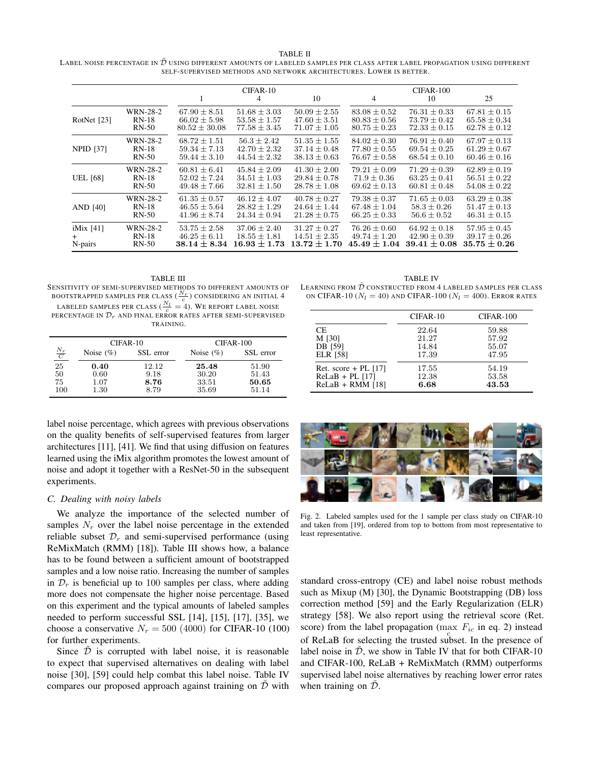TABLE II LABEL NOISE PERCENTAGE IN  $\tilde{\mathcal{D}}$  using different amounts of labeled samples per class after label propagation using different SELF-SUPERVISED METHODS AND NETWORK ARCHITECTURES. LOWER IS BETTER.

|                         |                                       |                                                          | $CIFAR-10$<br>4                                          | 10                                                       | $\overline{4}$                                           | CIFAR-100<br>10                                          | 25                                                       |
|-------------------------|---------------------------------------|----------------------------------------------------------|----------------------------------------------------------|----------------------------------------------------------|----------------------------------------------------------|----------------------------------------------------------|----------------------------------------------------------|
| RotNet [23]             | WRN-28-2                              | $67.90 \pm 8.51$                                         | $51.68 \pm 3.03$                                         | $50.09 \pm 2.55$                                         | $83.08 \pm 0.52$                                         | $76.31 \pm 0.33$                                         | $67.81 \pm 0.15$                                         |
|                         | $RN-18$                               | $66.02 \pm 5.98$                                         | $53.58 \pm 1.57$                                         | $47.60 \pm 3.51$                                         | $80.83 \pm 0.56$                                         | $73.79 \pm 0.42$                                         | $65.58 \pm 0.34$                                         |
|                         | $RN-50$                               | $80.52 + 30.08$                                          | $77.58 + 3.45$                                           | $71.07 + 1.05$                                           | $80.75 + 0.23$                                           | $72.33 + 0.15$                                           | $62.78 + 0.12$                                           |
| <b>NPID</b> [37]        | WRN-28-2                              | $68.72 \pm 1.51$                                         | $56.3 \pm 2.42$                                          | $51.35 \pm 1.55$                                         | $84.02 \pm 0.30$                                         | $76.91 \pm 0.40$                                         | $67.97 \pm 0.13$                                         |
|                         | $RN-18$                               | $59.34 \pm 7.13$                                         | $42.70 \pm 2.32$                                         | $37.14 \pm 0.48$                                         | $77.80 \pm 0.55$                                         | $69.54 \pm 0.25$                                         | $61.29 \pm 0.67$                                         |
|                         | $RN-50$                               | $59.44 \pm 3.10$                                         | $44.54 \pm 2.32$                                         | $38.13 \pm 0.63$                                         | $76.67 \pm 0.58$                                         | $68.54 \pm 0.10$                                         | $60.46 \pm 0.16$                                         |
| <b>UEL</b> [68]         | WRN-28-2                              | $60.81 \pm 6.41$                                         | $45.84 \pm 2.09$                                         | $41.30 \pm 2.00$                                         | $79.21 \pm 0.09$                                         | $71.29 \pm 0.39$                                         | $62.89 \pm 0.19$                                         |
|                         | $RN-18$                               | $52.02 \pm 7.24$                                         | $34.51 \pm 1.03$                                         | $29.84 \pm 0.78$                                         | $71.9 \pm 0.36$                                          | $63.25 \pm 0.41$                                         | $56.51 \pm 0.22$                                         |
|                         | $RN-50$                               | $49.48 + 7.66$                                           | $32.81 \pm 1.50$                                         | $28.78 \pm 1.08$                                         | $69.62 + 0.13$                                           | $60.81 \pm 0.48$                                         | $54.08 \pm 0.22$                                         |
| AND [40]                | <b>WRN-28-2</b>                       | $61.35 \pm 0.57$                                         | $46.12 \pm 4.07$                                         | $40.78 \pm 0.27$                                         | $79.38 \pm 0.37$                                         | $71.65 \pm 0.03$                                         | $63.29 \pm 0.38$                                         |
|                         | $RN-18$                               | $46.55 \pm 5.64$                                         | $28.82 \pm 1.29$                                         | $24.64 \pm 1.44$                                         | $67.48 \pm 1.04$                                         | $58.3 \pm 0.26$                                          | $51.47 \pm 0.13$                                         |
|                         | $RN-50$                               | $41.96 \pm 8.74$                                         | $24.34 \pm 0.94$                                         | $21.28 \pm 0.75$                                         | $66.25 \pm 0.33$                                         | $56.6 \pm 0.52$                                          | $46.31 \pm 0.15$                                         |
| $i$ Mix [41]<br>N-pairs | <b>WRN-28-2</b><br>$RN-18$<br>$RN-50$ | $53.75 \pm 2.58$<br>$46.25 \pm 6.11$<br>$38.14 \pm 8.34$ | $37.06 \pm 2.40$<br>$18.55 \pm 1.81$<br>$16.93 \pm 1.73$ | $31.27 \pm 0.27$<br>$14.51 \pm 2.35$<br>$13.72 \pm 1.70$ | $76.26 \pm 0.60$<br>$49.74 \pm 1.20$<br>$45.49 \pm 1.04$ | $64.92 \pm 0.18$<br>$42.90 \pm 0.39$<br>$39.41 \pm 0.08$ | $57.95 \pm 0.45$<br>$39.17 \pm 0.26$<br>$35.75 \pm 0.26$ |

TABLE III SENSITIVITY OF SEMI-SUPERVISED METHODS TO DIFFERENT AMOUNTS OF BOOTSTRAPPED SAMPLES PER CLASS  $(\frac{N_r}{c})$  considering an initial 4 LABELED SAMPLES PER CLASS ( $\frac{N_l}{c} = 4$ ). WE REPORT LABEL NOISE

PERCENTAGE IN  $\mathcal{D}_r$  and final error rates after semi-supervised TRAINING.

|                                         | $CIFAR-10$                |       | $CIFAR-100$   |           |
|-----------------------------------------|---------------------------|-------|---------------|-----------|
| $\frac{N_r}{C}$                         | Noise $(\%)$<br>SSL error |       | Noise $(\% )$ | SSL error |
| 25                                      | 0.40                      | 12.12 | 25.48         | 51.90     |
| $\begin{array}{c} 50 \\ 75 \end{array}$ | 0.60                      | 9.18  | 30.20         | 51.43     |
|                                         | 1.07                      | 8.76  | 33.51         | 50.65     |
| 100                                     | 1.30                      | 8.79  | 35.69         | 51.14     |

label noise percentage, which agrees with previous observations on the quality benefits of self-supervised features from larger architectures [11], [41]. We find that using diffusion on features learned using the iMix algorithm promotes the lowest amount of noise and adopt it together with a ResNet-50 in the subsequent experiments.

#### *C. Dealing with noisy labels*

We analyze the importance of the selected number of samples  $N_r$  over the label noise percentage in the extended reliable subset  $\mathcal{D}_r$  and semi-supervised performance (using ReMixMatch (RMM) [18]). Table III shows how, a balance has to be found between a sufficient amount of bootstrapped samples and a low noise ratio. Increasing the number of samples in  $\mathcal{D}_r$  is beneficial up to 100 samples per class, where adding more does not compensate the higher noise percentage. Based on this experiment and the typical amounts of labeled samples needed to perform successful SSL [14], [15], [17], [35], we choose a conservative  $N_r = 500 (4000)$  for CIFAR-10 (100) for further experiments.

Since  $\overline{D}$  is corrupted with label noise, it is reasonable to expect that supervised alternatives on dealing with label noise [30], [59] could help combat this label noise. Table IV compares our proposed approach against training on  $\overline{\mathcal{D}}$  with

TABLE IV LEARNING FROM  $\hat{\mathcal{D}}$  CONSTRUCTED FROM 4 LABELED SAMPLES PER CLASS ON CIFAR-10 ( $N_l = 40$ ) and CIFAR-100 ( $N_l = 400$ ). Error rates

|                        | CIFAR-10 | CIFAR-100 |
|------------------------|----------|-----------|
| CE.                    | 22.64    | 59.88     |
| M [30]                 | 21.27    | 57.92     |
| DB [59]                | 14.84    | 55.07     |
| <b>ELR</b> [58]        | 17.39    | 47.95     |
| Ret. score + PL $[17]$ | 17.55    | 54.19     |
| $ReLaB + PL$ [17]      | 12.38    | 53.58     |
| $ReLaB + RMM$ [18]     | 6.68     | 43.53     |



Fig. 2. Labeled samples used for the 1 sample per class study on CIFAR-10 and taken from [19], ordered from top to bottom from most representative to least representative.

standard cross-entropy (CE) and label noise robust methods such as Mixup (M) [30], the Dynamic Bootstrapping (DB) loss correction method [59] and the Early Regularization (ELR) strategy [58]. We also report using the retrieval score (Ret. score) from the label propagation (max  $F_{ic}$  in eq. 2) instead of ReLaB for selecting the trusted subset. In the presence of label noise in  $\tilde{D}$ , we show in Table IV that for both CIFAR-10 and CIFAR-100, ReLaB + ReMixMatch (RMM) outperforms supervised label noise alternatives by reaching lower error rates when training on  $\mathcal{D}$ .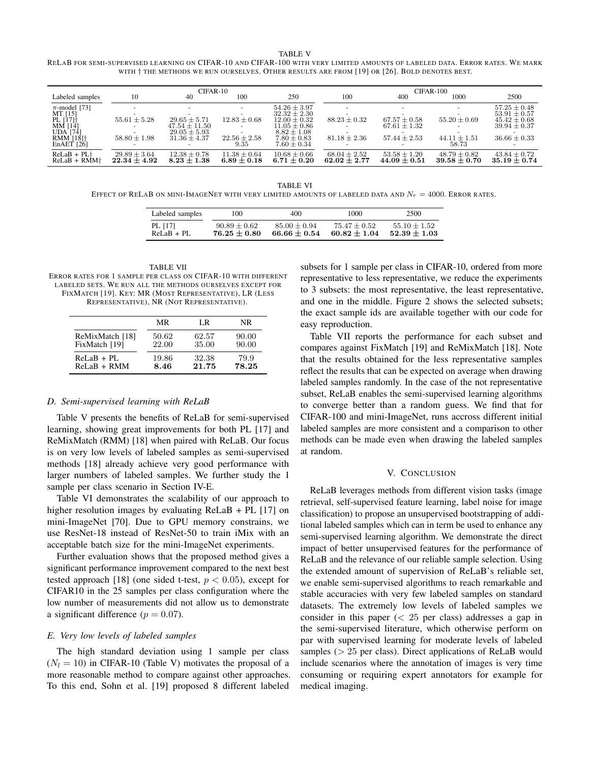TABLE V RELAB FOR SEMI-SUPERVISED LEARNING ON CIFAR-10 AND CIFAR-100 WITH VERY LIMITED AMOUNTS OF LABELED DATA. ERROR RATES. WE MARK WITH † THE METHODS WE RUN OURSELVES. OTHER RESULTS ARE FROM [19] OR [26]. BOLD DENOTES BEST.

|                                  | CIFAR-10                             |                                     |                                     | $CIFAR-100$                         |                                    |                                      |                                      |                                    |
|----------------------------------|--------------------------------------|-------------------------------------|-------------------------------------|-------------------------------------|------------------------------------|--------------------------------------|--------------------------------------|------------------------------------|
| Labeled samples                  | 10                                   | 40                                  | 100                                 | 250                                 | 100                                | 400                                  | 1000                                 | 2500                               |
| $\pi$ -model [73]                |                                      |                                     | $\overline{\phantom{a}}$            | $54.26 \pm 3.97$                    |                                    |                                      | $\overline{\phantom{0}}$             | $57.25 \pm 0.48$                   |
| MT [15]<br>PL [17]†              |                                      |                                     |                                     | $32.32 \pm 2.30$                    |                                    |                                      |                                      | $53.91 \pm 0.57$                   |
|                                  | $55.61 \pm 5.28$                     | $29.65 \pm 5.71$                    | $12.83 \pm 0.68$                    | $12.00 \pm 0.32$                    | $88.23 \pm 0.32$                   | $67.57 + 0.58$                       | $55.20 \pm 0.69$                     | $45.42 + 0.68$                     |
| MM [14]<br>UDA [74]              |                                      | $47.54 + 11.50$                     |                                     | $11.05 + 0.86$                      |                                    | $67.61 \pm 1.32$                     |                                      | $39.94 + 0.37$                     |
|                                  |                                      | $29.05 + 5.93$                      |                                     | $8.82 + 1.08$                       |                                    |                                      |                                      |                                    |
| $RMM$ [18] $\dagger$             | $58.80 \pm 1.98$                     | $31.36 \pm 4.37$                    | $22.56 \pm 2.58$                    | $7.80 \pm 0.83$                     | $81.18 \pm 2.36$                   | $57.44 + 2.53$                       | $44.11 \pm 1.51$                     | $36.66 \pm 0.33$                   |
| En $AET$ [26]                    |                                      |                                     | 9.35                                | $7.60 + 0.34$                       |                                    |                                      | 58.73                                |                                    |
| $ReLaB + PL+$<br>$ReLaB + RMM^+$ | $29.89 \pm 3.64$<br>$22.34 \pm 4.92$ | $12.38 \pm 0.78$<br>$8.23 \pm 1.38$ | $11.38 \pm 0.64$<br>$6.89 \pm 0.18$ | $10.68 \pm 0.66$<br>$6.71 \pm 0.20$ | $68.04 + 2.52$<br>$62.02 \pm 2.77$ | $53.58 \pm 1.20$<br>$44.09 \pm 0.51$ | $48.79 \pm 0.82$<br>$39.58 \pm 0.70$ | $43.84 + 0.72$<br>$35.19 \pm 0.74$ |
|                                  |                                      |                                     |                                     |                                     |                                    |                                      |                                      |                                    |

TABLE VI EFFECT OF RELAB ON MINI-IMAGENET WITH VERY LIMITED AMOUNTS OF LABELED DATA AND  $N_r = 4000$ . ERROR RATES.

| Labeled samples | 100            | 400            | 1000           | 2500           |
|-----------------|----------------|----------------|----------------|----------------|
| PL [17]         | $90.89 + 0.62$ | $85.00 + 0.94$ | $75.47 + 0.52$ | $55.10 + 1.52$ |
| $ReLaB + PI.$   | $76.25 + 0.80$ | $66.66 + 0.54$ | $60.82 + 1.04$ | $52.39 + 1.03$ |

TABLE VII ERROR RATES FOR 1 SAMPLE PER CLASS ON CIFAR-10 WITH DIFFERENT LABELED SETS. WE RUN ALL THE METHODS OURSELVES EXCEPT FOR FIXMATCH [19]. KEY: MR (MOST REPRESENTATIVE), LR (LESS REPRESENTATIVE), NR (NOT REPRESENTATIVE).

|                 | MR    | LR    | NR.   |
|-----------------|-------|-------|-------|
| ReMixMatch [18] | 50.62 | 62.57 | 90.00 |
| FixMatch [19]   | 22.00 | 35.00 | 90.00 |
| $ReLaB + PL$    | 19.86 | 32.38 | 79.9  |
| $ReLaB + RMM$   | 8.46  | 21.75 | 78.25 |

## *D. Semi-supervised learning with ReLaB*

Table V presents the benefits of ReLaB for semi-supervised learning, showing great improvements for both PL [17] and ReMixMatch (RMM) [18] when paired with ReLaB. Our focus is on very low levels of labeled samples as semi-supervised methods [18] already achieve very good performance with larger numbers of labeled samples. We further study the 1 sample per class scenario in Section IV-E.

Table VI demonstrates the scalability of our approach to higher resolution images by evaluating ReLaB + PL [17] on mini-ImageNet [70]. Due to GPU memory constrains, we use ResNet-18 instead of ResNet-50 to train iMix with an acceptable batch size for the mini-ImageNet experiments.

Further evaluation shows that the proposed method gives a significant performance improvement compared to the next best tested approach [18] (one sided t-test,  $p < 0.05$ ), except for CIFAR10 in the 25 samples per class configuration where the low number of measurements did not allow us to demonstrate a significant difference ( $p = 0.07$ ).

## *E. Very low levels of labeled samples*

The high standard deviation using 1 sample per class  $(N_l = 10)$  in CIFAR-10 (Table V) motivates the proposal of a more reasonable method to compare against other approaches. To this end, Sohn et al. [19] proposed 8 different labeled

subsets for 1 sample per class in CIFAR-10, ordered from more representative to less representative, we reduce the experiments to 3 subsets: the most representative, the least representative, and one in the middle. Figure 2 shows the selected subsets; the exact sample ids are available together with our code for easy reproduction.

Table VII reports the performance for each subset and compares against FixMatch [19] and ReMixMatch [18]. Note that the results obtained for the less representative samples reflect the results that can be expected on average when drawing labeled samples randomly. In the case of the not representative subset, ReLaB enables the semi-supervised learning algorithms to converge better than a random guess. We find that for CIFAR-100 and mini-ImageNet, runs accross different initial labeled samples are more consistent and a comparison to other methods can be made even when drawing the labeled samples at random.

#### V. CONCLUSION

ReLaB leverages methods from different vision tasks (image retrieval, self-supervised feature learning, label noise for image classification) to propose an unsupervised bootstrapping of additional labeled samples which can in term be used to enhance any semi-supervised learning algorithm. We demonstrate the direct impact of better unsupervised features for the performance of ReLaB and the relevance of our reliable sample selection. Using the extended amount of supervision of ReLaB's reliable set, we enable semi-supervised algorithms to reach remarkable and stable accuracies with very few labeled samples on standard datasets. The extremely low levels of labeled samples we consider in this paper  $\left($  < 25 per class) addresses a gap in the semi-supervised literature, which otherwise perform on par with supervised learning for moderate levels of labeled samples ( $> 25$  per class). Direct applications of ReLaB would include scenarios where the annotation of images is very time consuming or requiring expert annotators for example for medical imaging.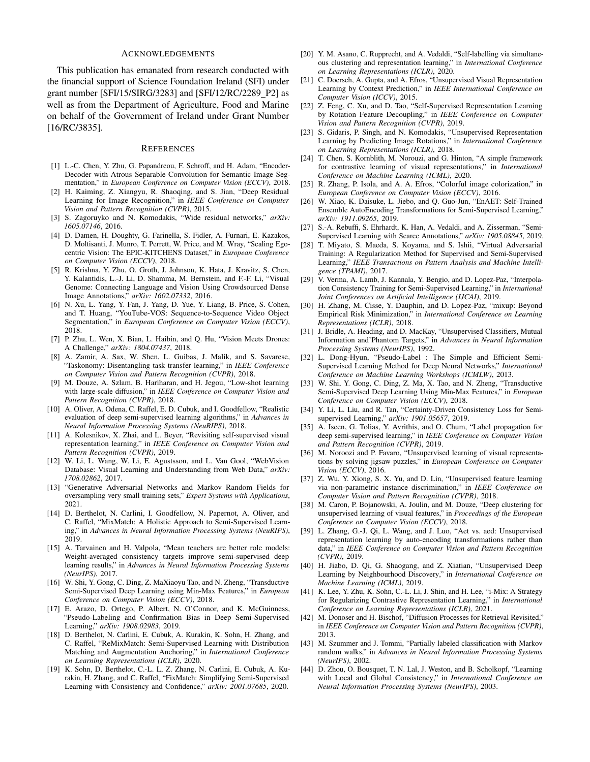#### ACKNOWLEDGEMENTS

This publication has emanated from research conducted with the financial support of Science Foundation Ireland (SFI) under grant number [SFI/15/SIRG/3283] and [SFI/12/RC/2289\_P2] as well as from the Department of Agriculture, Food and Marine on behalf of the Government of Ireland under Grant Number [16/RC/3835].

#### **REFERENCES**

- [1] L.-C. Chen, Y. Zhu, G. Papandreou, F. Schroff, and H. Adam, "Encoder-Decoder with Atrous Separable Convolution for Semantic Image Segmentation," in *European Conference on Computer Vision (ECCV)*, 2018.
- [2] H. Kaiming, Z. Xiangyu, R. Shaoqing, and S. Jian, "Deep Residual Learning for Image Recognition," in *IEEE Conference on Computer Vision and Pattern Recognition (CVPR)*, 2015.
- [3] S. Zagoruyko and N. Komodakis, "Wide residual networks," *arXiv: 1605.07146*, 2016.
- [4] D. Damen, H. Doughty, G. Farinella, S. Fidler, A. Furnari, E. Kazakos, D. Moltisanti, J. Munro, T. Perrett, W. Price, and M. Wray, "Scaling Egocentric Vision: The EPIC-KITCHENS Dataset," in *European Conference on Computer Vision (ECCV)*, 2018.
- [5] R. Krishna, Y. Zhu, O. Groth, J. Johnson, K. Hata, J. Kravitz, S. Chen, Y. Kalantidis, L.-J. Li, D. Shamma, M. Bernstein, and F.-F. Li, "Visual Genome: Connecting Language and Vision Using Crowdsourced Dense Image Annotations," *arXiv: 1602.07332*, 2016.
- [6] N. Xu, L. Yang, Y. Fan, J. Yang, D. Yue, Y. Liang, B. Price, S. Cohen, and T. Huang, "YouTube-VOS: Sequence-to-Sequence Video Object Segmentation," in *European Conference on Computer Vision (ECCV)*, 2018.
- [7] P. Zhu, L. Wen, X. Bian, L. Haibin, and Q. Hu, "Vision Meets Drones: A Challenge," *arXiv: 1804.07437*, 2018.
- [8] A. Zamir, A. Sax, W. Shen, L. Guibas, J. Malik, and S. Savarese, "Taskonomy: Disentangling task transfer learning," in *IEEE Conference on Computer Vision and Pattern Recognition (CVPR)*, 2018.
- [9] M. Douze, A. Szlam, B. Hariharan, and H. Jegou, "Low-shot learning with large-scale diffusion," in *IEEE Conference on Computer Vision and Pattern Recognition (CVPR)*, 2018.
- [10] A. Oliver, A. Odena, C. Raffel, E. D. Cubuk, and I. Goodfellow, "Realistic evaluation of deep semi-supervised learning algorithms," in *Advances in Neural Information Processing Systems (NeuRIPS)*, 2018.
- [11] A. Kolesnikov, X. Zhai, and L. Beyer, "Revisiting self-supervised visual representation learning," in *IEEE Conference on Computer Vision and Pattern Recognition (CVPR)*, 2019.
- [12] W. Li, L. Wang, W. Li, E. Agustsson, and L. Van Gool, "WebVision Database: Visual Learning and Understanding from Web Data," *arXiv: 1708.02862*, 2017.
- [13] "Generative Adversarial Networks and Markov Random Fields for oversampling very small training sets," *Expert Systems with Applications*, 2021.
- [14] D. Berthelot, N. Carlini, I. Goodfellow, N. Papernot, A. Oliver, and C. Raffel, "MixMatch: A Holistic Approach to Semi-Supervised Learning," in *Advances in Neural Information Processing Systems (NeuRIPS)*, 2019.
- [15] A. Tarvainen and H. Valpola, "Mean teachers are better role models: Weight-averaged consistency targets improve semi-supervised deep learning results," in *Advances in Neural Information Processing Systems (NeurIPS)*, 2017.
- [16] W. Shi, Y. Gong, C. Ding, Z. MaXiaoyu Tao, and N. Zheng, "Transductive Semi-Supervised Deep Learning using Min-Max Features," in *European Conference on Computer Vision (ECCV)*, 2018.
- [17] E. Arazo, D. Ortego, P. Albert, N. O'Connor, and K. McGuinness, "Pseudo-Labeling and Confirmation Bias in Deep Semi-Supervised Learning," *arXiv: 1908.02983*, 2019.
- [18] D. Berthelot, N. Carlini, E. Cubuk, A. Kurakin, K. Sohn, H. Zhang, and C. Raffel, "ReMixMatch: Semi-Supervised Learning with Distribution Matching and Augmentation Anchoring," in *International Conference on Learning Representations (ICLR)*, 2020.
- [19] K. Sohn, D. Berthelot, C.-L. L, Z. Zhang, N. Carlini, E. Cubuk, A. Kurakin, H. Zhang, and C. Raffel, "FixMatch: Simplifying Semi-Supervised Learning with Consistency and Confidence," *arXiv: 2001.07685*, 2020.
- [20] Y. M. Asano, C. Rupprecht, and A. Vedaldi, "Self-labelling via simultaneous clustering and representation learning," in *International Conference on Learning Representations (ICLR)*, 2020.
- [21] C. Doersch, A. Gupta, and A. Efros, "Unsupervised Visual Representation Learning by Context Prediction," in *IEEE International Conference on Computer Vision (ICCV)*, 2015.
- [22] Z. Feng, C. Xu, and D. Tao, "Self-Supervised Representation Learning by Rotation Feature Decoupling," in *IEEE Conference on Computer Vision and Pattern Recognition (CVPR)*, 2019.
- [23] S. Gidaris, P. Singh, and N. Komodakis, "Unsupervised Representation Learning by Predicting Image Rotations," in *International Conference on Learning Representations (ICLR)*, 2018.
- [24] T. Chen, S. Kornblith, M. Norouzi, and G. Hinton, "A simple framework for contrastive learning of visual representations," in *International Conference on Machine Learning (ICML)*, 2020.
- [25] R. Zhang, P. Isola, and A. A. Efros, "Colorful image colorization," in *European Conference on Computer Vision (ECCV)*, 2016.
- [26] W. Xiao, K. Daisuke, L. Jiebo, and Q. Guo-Jun, "EnAET: Self-Trained Ensemble AutoEncoding Transformations for Semi-Supervised Learning," *arXiv: 1911.09265*, 2019.
- [27] S.-A. Rebuffi, S. Ehrhardt, K. Han, A. Vedaldi, and A. Zisserman, "Semi-Supervised Learning with Scarce Annotations," *arXiv: 1905.08845*, 2019.
- [28] T. Miyato, S. Maeda, S. Koyama, and S. Ishii, "Virtual Adversarial Training: A Regularization Method for Supervised and Semi-Supervised Learning," *IEEE Transactions on Pattern Analysis and Machine Intelligence (TPAMI)*, 2017.
- [29] V. Verma, A. Lamb, J. Kannala, Y. Bengio, and D. Lopez-Paz, "Interpolation Consistency Training for Semi-Supervised Learning," in *International Joint Conferences on Artificial Intelligence (IJCAI)*, 2019.
- [30] H. Zhang, M. Cisse, Y. Dauphin, and D. Lopez-Paz, "mixup: Beyond Empirical Risk Minimization," in *International Conference on Learning Representations (ICLR)*, 2018.
- [31] J. Bridle, A. Heading, and D. MacKay, "Unsupervised Classifiers, Mutual Information and'Phantom Targets," in *Advances in Neural Information Processing Systems (NeurIPS)*, 1992.
- [32] L. Dong-Hyun, "Pseudo-Label : The Simple and Efficient Semi-Supervised Learning Method for Deep Neural Networks," *International Conference on Machine Learning Workshops (ICMLW)*, 2013.
- [33] W. Shi, Y. Gong, C. Ding, Z. Ma, X. Tao, and N. Zheng, "Transductive Semi-Supervised Deep Learning Using Min-Max Features," in *European Conference on Computer Vision (ECCV)*, 2018.
- [34] Y. Li, L. Liu, and R. Tan, "Certainty-Driven Consistency Loss for Semisupervised Learning," *arXiv: 1901.05657*, 2019.
- [35] A. Iscen, G. Tolias, Y. Avrithis, and O. Chum, "Label propagation for deep semi-supervised learning," in *IEEE Conference on Computer Vision and Pattern Recognition (CVPR)*, 2019.
- [36] M. Noroozi and P. Favaro, "Unsupervised learning of visual representations by solving jigsaw puzzles," in *European Conference on Computer Vision (ECCV)*, 2016.
- [37] Z. Wu, Y. Xiong, S. X. Yu, and D. Lin, "Unsupervised feature learning via non-parametric instance discrimination," in *IEEE Conference on Computer Vision and Pattern Recognition (CVPR)*, 2018.
- [38] M. Caron, P. Bojanowski, A. Joulin, and M. Douze, "Deep clustering for unsupervised learning of visual features," in *Proceedings of the European Conference on Computer Vision (ECCV)*, 2018.
- [39] L. Zhang, G.-J. Qi, L. Wang, and J. Luo, "Aet vs. aed: Unsupervised representation learning by auto-encoding transformations rather than data," in *IEEE Conference on Computer Vision and Pattern Recognition (CVPR)*, 2019.
- [40] H. Jiabo, D. Qi, G. Shaogang, and Z. Xiatian, "Unsupervised Deep Learning by Neighbourhood Discovery," in *International Conference on Machine Learning (ICML)*, 2019.
- [41] K. Lee, Y. Zhu, K. Sohn, C.-L. Li, J. Shin, and H. Lee, "i-Mix: A Strategy for Regularizing Contrastive Representation Learning," in *International Conference on Learning Representations (ICLR)*, 2021.
- [42] M. Donoser and H. Bischof, "Diffusion Processes for Retrieval Revisited," in *IEEE Conference on Computer Vision and Pattern Recognition (CVPR)*, 2013.
- [43] M. Szummer and J. Tommi, "Partially labeled classification with Markov random walks," in *Advances in Neural Information Processing Systems (NeurIPS)*, 2002.
- [44] D. Zhou, O. Bousquet, T. N. Lal, J. Weston, and B. Scholkopf, "Learning with Local and Global Consistency," in *International Conference on Neural Information Processing Systems (NeurIPS)*, 2003.